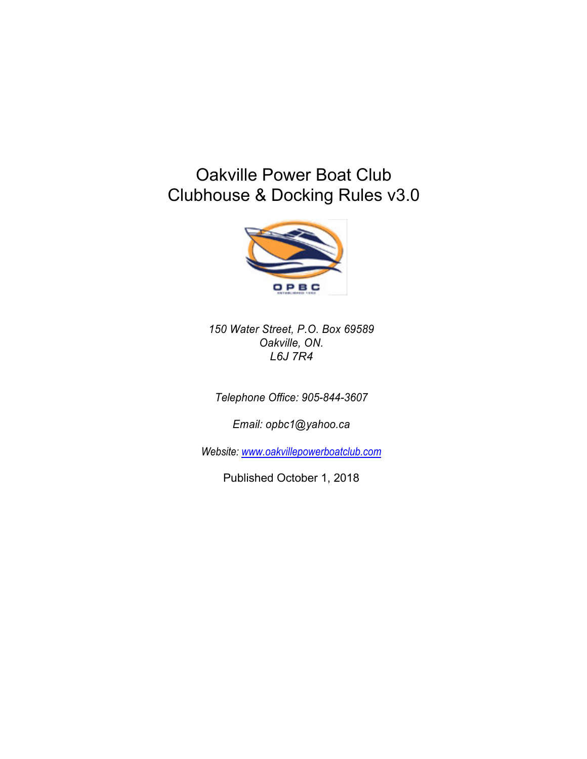## Oakville Power Boat Club Clubhouse & Docking Rules v3.0



*150 Water Street, P.O. Box 69589 Oakville, ON. L6J 7R4*

*Telephone Office: 905-844-3607*

*Email: opbc1@yahoo.ca*

*Website: www.oakvillepowerboatclub.com*

Published October 1, 2018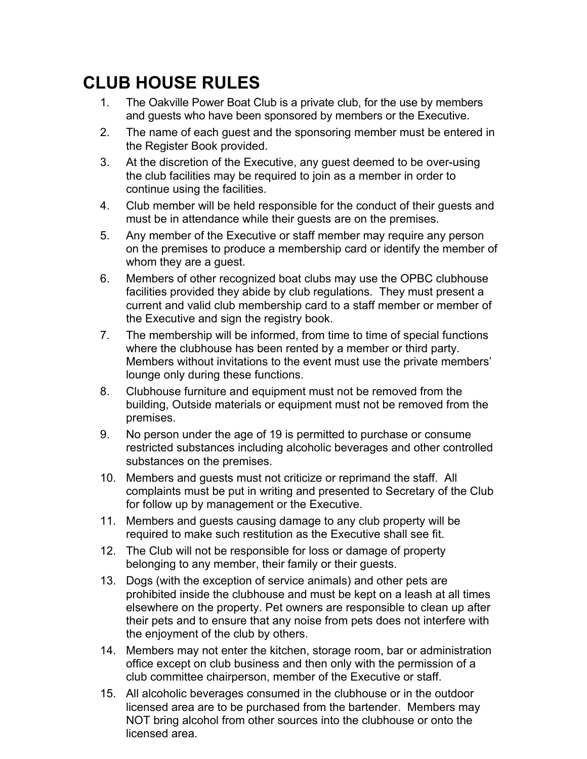## **CLUB HOUSE RULES**

- 1. The Oakville Power Boat Club is a private club, for the use by members and guests who have been sponsored by members or the Executive.
- 2. The name of each guest and the sponsoring member must be entered in the Register Book provided.
- 3. At the discretion of the Executive, any guest deemed to be over-using the club facilities may be required to join as a member in order to continue using the facilities.
- 4. Club member will be held responsible for the conduct of their guests and must be in attendance while their guests are on the premises.
- 5. Any member of the Executive or staff member may require any person on the premises to produce a membership card or identify the member of whom they are a guest.
- 6. Members of other recognized boat clubs may use the OPBC clubhouse facilities provided they abide by club regulations. They must present a current and valid club membership card to a staff member or member of the Executive and sign the registry book.
- 7. The membership will be informed, from time to time of special functions where the clubhouse has been rented by a member or third party. Members without invitations to the event must use the private members' lounge only during these functions.
- 8. Clubhouse furniture and equipment must not be removed from the building, Outside materials or equipment must not be removed from the premises.
- 9. No person under the age of 19 is permitted to purchase or consume restricted substances including alcoholic beverages and other controlled substances on the premises.
- 10. Members and guests must not criticize or reprimand the staff. All complaints must be put in writing and presented to Secretary of the Club for follow up by management or the Executive.
- 11. Members and guests causing damage to any club property will be required to make such restitution as the Executive shall see fit.
- 12. The Club will not be responsible for loss or damage of property belonging to any member, their family or their guests.
- 13. Dogs (with the exception of service animals) and other pets are prohibited inside the clubhouse and must be kept on a leash at all times elsewhere on the property. Pet owners are responsible to clean up after their pets and to ensure that any noise from pets does not interfere with the enjoyment of the club by others.
- 14. Members may not enter the kitchen, storage room, bar or administration office except on club business and then only with the permission of a club committee chairperson, member of the Executive or staff.
- 15. All alcoholic beverages consumed in the clubhouse or in the outdoor licensed area are to be purchased from the bartender. Members may NOT bring alcohol from other sources into the clubhouse or onto the licensed area.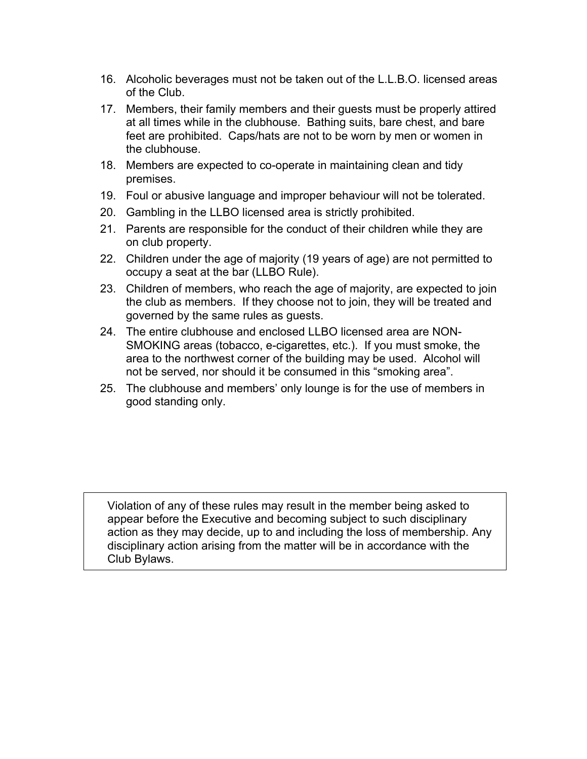- 16. Alcoholic beverages must not be taken out of the L.L.B.O. licensed areas of the Club.
- 17. Members, their family members and their guests must be properly attired at all times while in the clubhouse. Bathing suits, bare chest, and bare feet are prohibited. Caps/hats are not to be worn by men or women in the clubhouse.
- 18. Members are expected to co-operate in maintaining clean and tidy premises.
- 19. Foul or abusive language and improper behaviour will not be tolerated.
- 20. Gambling in the LLBO licensed area is strictly prohibited.
- 21. Parents are responsible for the conduct of their children while they are on club property.
- 22. Children under the age of majority (19 years of age) are not permitted to occupy a seat at the bar (LLBO Rule).
- 23. Children of members, who reach the age of majority, are expected to join the club as members. If they choose not to join, they will be treated and governed by the same rules as guests.
- 24. The entire clubhouse and enclosed LLBO licensed area are NON-SMOKING areas (tobacco, e-cigarettes, etc.). If you must smoke, the area to the northwest corner of the building may be used. Alcohol will not be served, nor should it be consumed in this "smoking area".
- 25. The clubhouse and members' only lounge is for the use of members in good standing only.

Violation of any of these rules may result in the member being asked to appear before the Executive and becoming subject to such disciplinary action as they may decide, up to and including the loss of membership. Any disciplinary action arising from the matter will be in accordance with the Club Bylaws.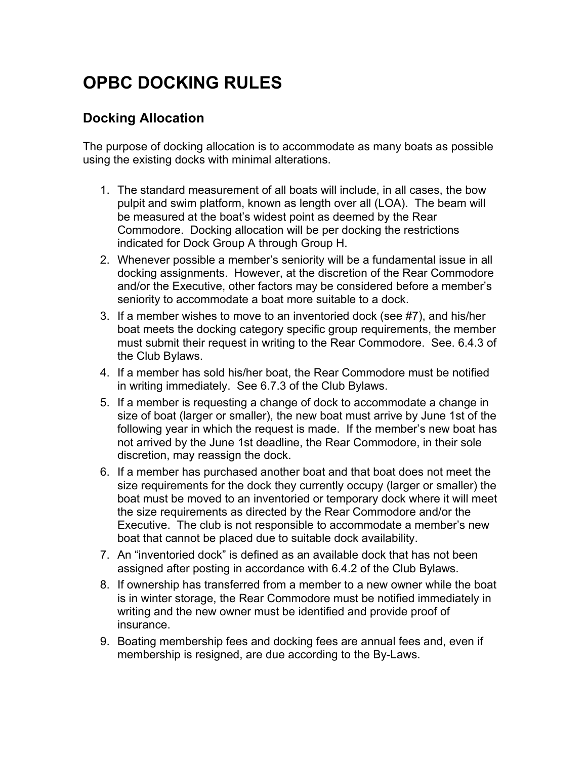# **OPBC DOCKING RULES**

### **Docking Allocation**

The purpose of docking allocation is to accommodate as many boats as possible using the existing docks with minimal alterations.

- 1. The standard measurement of all boats will include, in all cases, the bow pulpit and swim platform, known as length over all (LOA). The beam will be measured at the boat's widest point as deemed by the Rear Commodore. Docking allocation will be per docking the restrictions indicated for Dock Group A through Group H.
- 2. Whenever possible a member's seniority will be a fundamental issue in all docking assignments. However, at the discretion of the Rear Commodore and/or the Executive, other factors may be considered before a member's seniority to accommodate a boat more suitable to a dock.
- 3. If a member wishes to move to an inventoried dock (see #7), and his/her boat meets the docking category specific group requirements, the member must submit their request in writing to the Rear Commodore. See. 6.4.3 of the Club Bylaws.
- 4. If a member has sold his/her boat, the Rear Commodore must be notified in writing immediately. See 6.7.3 of the Club Bylaws.
- 5. If a member is requesting a change of dock to accommodate a change in size of boat (larger or smaller), the new boat must arrive by June 1st of the following year in which the request is made. If the member's new boat has not arrived by the June 1st deadline, the Rear Commodore, in their sole discretion, may reassign the dock.
- 6. If a member has purchased another boat and that boat does not meet the size requirements for the dock they currently occupy (larger or smaller) the boat must be moved to an inventoried or temporary dock where it will meet the size requirements as directed by the Rear Commodore and/or the Executive. The club is not responsible to accommodate a member's new boat that cannot be placed due to suitable dock availability.
- 7. An "inventoried dock" is defined as an available dock that has not been assigned after posting in accordance with 6.4.2 of the Club Bylaws.
- 8. If ownership has transferred from a member to a new owner while the boat is in winter storage, the Rear Commodore must be notified immediately in writing and the new owner must be identified and provide proof of insurance.
- 9. Boating membership fees and docking fees are annual fees and, even if membership is resigned, are due according to the By-Laws.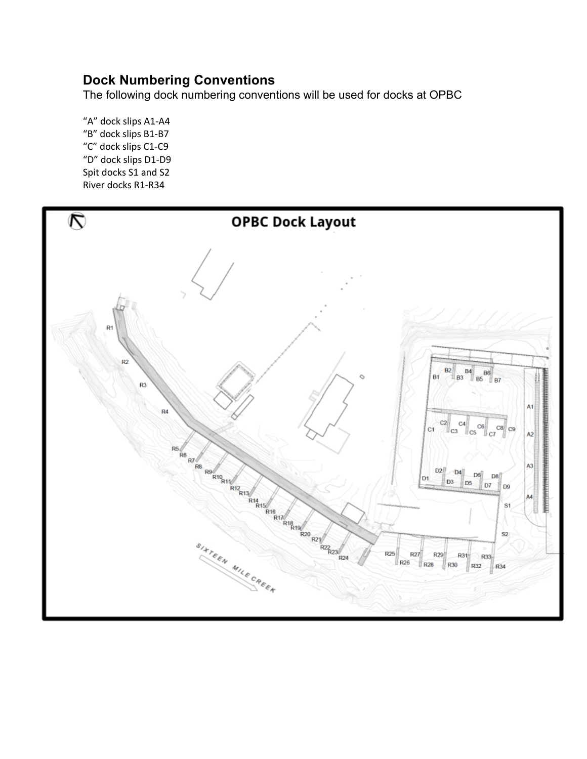## **Dock Numbering Conventions**

The following dock numbering conventions will be used for docks at OPBC

"A" dock slips A1-A4 "B" dock slips B1-B7 "C" dock slips C1-C9 "D" dock slips D1-D9 Spit docks S1 and S2 River docks R1-R34

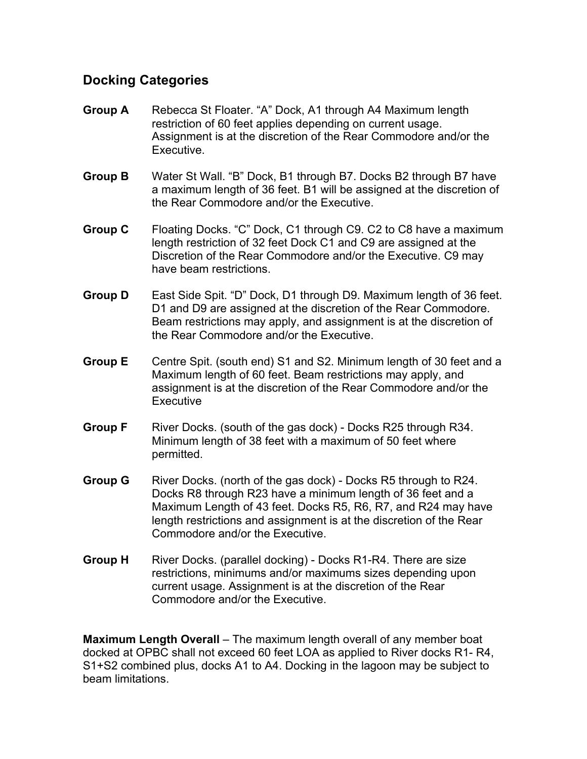## **Docking Categories**

- **Group A** Rebecca St Floater. "A" Dock, A1 through A4 Maximum length restriction of 60 feet applies depending on current usage. Assignment is at the discretion of the Rear Commodore and/or the Executive.
- **Group B** Water St Wall. "B" Dock, B1 through B7. Docks B2 through B7 have a maximum length of 36 feet. B1 will be assigned at the discretion of the Rear Commodore and/or the Executive.
- **Group C** Floating Docks. "C" Dock, C1 through C9. C2 to C8 have a maximum length restriction of 32 feet Dock C1 and C9 are assigned at the Discretion of the Rear Commodore and/or the Executive. C9 may have beam restrictions.
- **Group D** East Side Spit. "D" Dock, D1 through D9. Maximum length of 36 feet. D1 and D9 are assigned at the discretion of the Rear Commodore. Beam restrictions may apply, and assignment is at the discretion of the Rear Commodore and/or the Executive.
- **Group E** Centre Spit. (south end) S1 and S2. Minimum length of 30 feet and a Maximum length of 60 feet. Beam restrictions may apply, and assignment is at the discretion of the Rear Commodore and/or the **Executive**
- **Group F** River Docks. (south of the gas dock) Docks R25 through R34. Minimum length of 38 feet with a maximum of 50 feet where permitted.
- **Group G** River Docks. (north of the gas dock) Docks R5 through to R24. Docks R8 through R23 have a minimum length of 36 feet and a Maximum Length of 43 feet. Docks R5, R6, R7, and R24 may have length restrictions and assignment is at the discretion of the Rear Commodore and/or the Executive.
- **Group H** River Docks. (parallel docking) Docks R1-R4. There are size restrictions, minimums and/or maximums sizes depending upon current usage. Assignment is at the discretion of the Rear Commodore and/or the Executive.

**Maximum Length Overall** – The maximum length overall of any member boat docked at OPBC shall not exceed 60 feet LOA as applied to River docks R1- R4, S1+S2 combined plus, docks A1 to A4. Docking in the lagoon may be subject to beam limitations.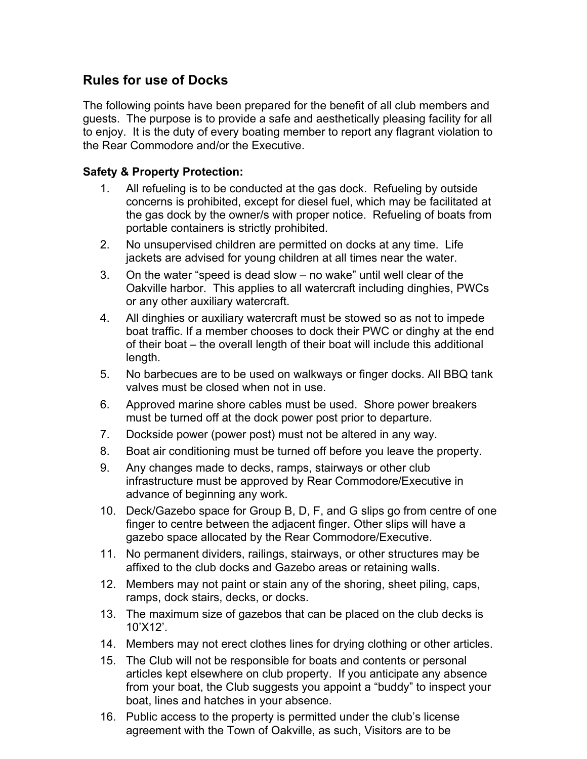## **Rules for use of Docks**

The following points have been prepared for the benefit of all club members and guests. The purpose is to provide a safe and aesthetically pleasing facility for all to enjoy. It is the duty of every boating member to report any flagrant violation to the Rear Commodore and/or the Executive.

### **Safety & Property Protection:**

- 1. All refueling is to be conducted at the gas dock. Refueling by outside concerns is prohibited, except for diesel fuel, which may be facilitated at the gas dock by the owner/s with proper notice. Refueling of boats from portable containers is strictly prohibited.
- 2. No unsupervised children are permitted on docks at any time. Life jackets are advised for young children at all times near the water.
- 3. On the water "speed is dead slow no wake" until well clear of the Oakville harbor. This applies to all watercraft including dinghies, PWCs or any other auxiliary watercraft.
- 4. All dinghies or auxiliary watercraft must be stowed so as not to impede boat traffic. If a member chooses to dock their PWC or dinghy at the end of their boat – the overall length of their boat will include this additional length.
- 5. No barbecues are to be used on walkways or finger docks. All BBQ tank valves must be closed when not in use.
- 6. Approved marine shore cables must be used. Shore power breakers must be turned off at the dock power post prior to departure.
- 7. Dockside power (power post) must not be altered in any way.
- 8. Boat air conditioning must be turned off before you leave the property.
- 9. Any changes made to decks, ramps, stairways or other club infrastructure must be approved by Rear Commodore/Executive in advance of beginning any work.
- 10. Deck/Gazebo space for Group B, D, F, and G slips go from centre of one finger to centre between the adjacent finger. Other slips will have a gazebo space allocated by the Rear Commodore/Executive.
- 11. No permanent dividers, railings, stairways, or other structures may be affixed to the club docks and Gazebo areas or retaining walls.
- 12. Members may not paint or stain any of the shoring, sheet piling, caps, ramps, dock stairs, decks, or docks.
- 13. The maximum size of gazebos that can be placed on the club decks is 10'X12'.
- 14. Members may not erect clothes lines for drying clothing or other articles.
- 15. The Club will not be responsible for boats and contents or personal articles kept elsewhere on club property. If you anticipate any absence from your boat, the Club suggests you appoint a "buddy" to inspect your boat, lines and hatches in your absence.
- 16. Public access to the property is permitted under the club's license agreement with the Town of Oakville, as such, Visitors are to be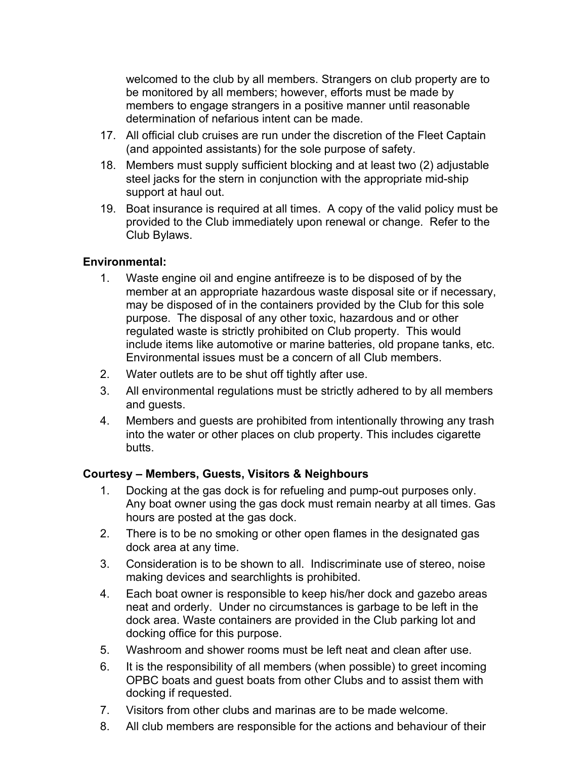welcomed to the club by all members. Strangers on club property are to be monitored by all members; however, efforts must be made by members to engage strangers in a positive manner until reasonable determination of nefarious intent can be made.

- 17. All official club cruises are run under the discretion of the Fleet Captain (and appointed assistants) for the sole purpose of safety.
- 18. Members must supply sufficient blocking and at least two (2) adjustable steel jacks for the stern in conjunction with the appropriate mid-ship support at haul out.
- 19. Boat insurance is required at all times. A copy of the valid policy must be provided to the Club immediately upon renewal or change. Refer to the Club Bylaws.

#### **Environmental:**

- 1. Waste engine oil and engine antifreeze is to be disposed of by the member at an appropriate hazardous waste disposal site or if necessary, may be disposed of in the containers provided by the Club for this sole purpose. The disposal of any other toxic, hazardous and or other regulated waste is strictly prohibited on Club property. This would include items like automotive or marine batteries, old propane tanks, etc. Environmental issues must be a concern of all Club members.
- 2. Water outlets are to be shut off tightly after use.
- 3. All environmental regulations must be strictly adhered to by all members and guests.
- 4. Members and guests are prohibited from intentionally throwing any trash into the water or other places on club property. This includes cigarette butts.

### **Courtesy – Members, Guests, Visitors & Neighbours**

- 1. Docking at the gas dock is for refueling and pump-out purposes only. Any boat owner using the gas dock must remain nearby at all times. Gas hours are posted at the gas dock.
- 2. There is to be no smoking or other open flames in the designated gas dock area at any time.
- 3. Consideration is to be shown to all. Indiscriminate use of stereo, noise making devices and searchlights is prohibited.
- 4. Each boat owner is responsible to keep his/her dock and gazebo areas neat and orderly. Under no circumstances is garbage to be left in the dock area. Waste containers are provided in the Club parking lot and docking office for this purpose.
- 5. Washroom and shower rooms must be left neat and clean after use.
- 6. It is the responsibility of all members (when possible) to greet incoming OPBC boats and guest boats from other Clubs and to assist them with docking if requested.
- 7. Visitors from other clubs and marinas are to be made welcome.
- 8. All club members are responsible for the actions and behaviour of their